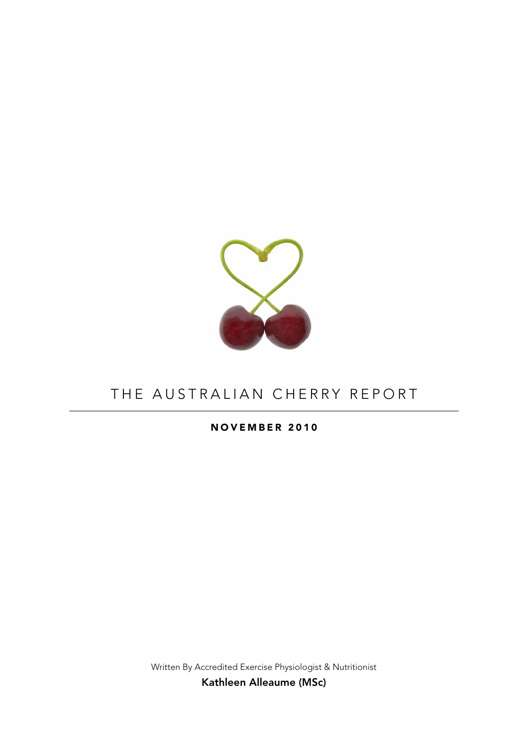

# THE AUSTRALIAN CHERRY REPORT

# NOVEMBER 2010

Written By Accredited Exercise Physiologist & Nutritionist Kathleen Alleaume (MSc)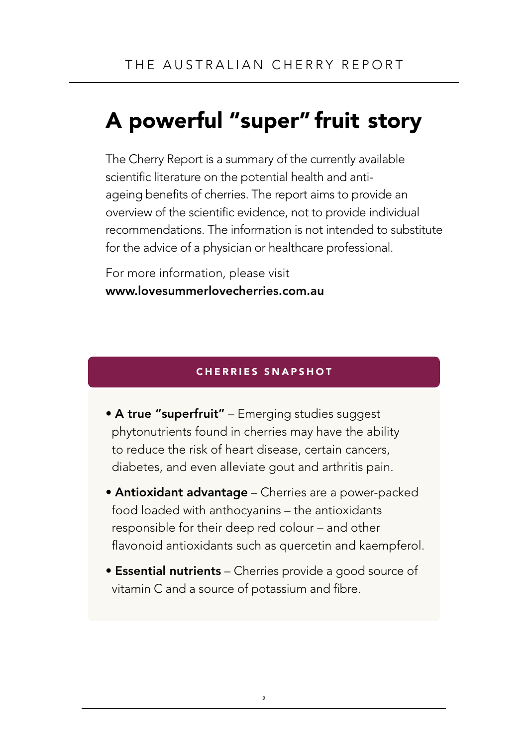# A powerful "super" fruit story

The Cherry Report is a summary of the currently available scientific literature on the potential health and antiageing benefits of cherries. The report aims to provide an overview of the scientific evidence, not to provide individual recommendations. The information is not intended to substitute for the advice of a physician or healthcare professional.

For more information, please visit www.lovesummerlovecherries.com.au

# **CHERRIES SNAPSHOT**

- A true "superfruit" Emerging studies suggest phytonutrients found in cherries may have the ability to reduce the risk of heart disease, certain cancers, diabetes, and even alleviate gout and arthritis pain.
- **Antioxidant advantage** Cherries are a power-packed food loaded with anthocyanins – the antioxidants responsible for their deep red colour – and other flavonoid antioxidants such as quercetin and kaempferol.
- **Essential nutrients** Cherries provide a good source of vitamin C and a source of potassium and fibre.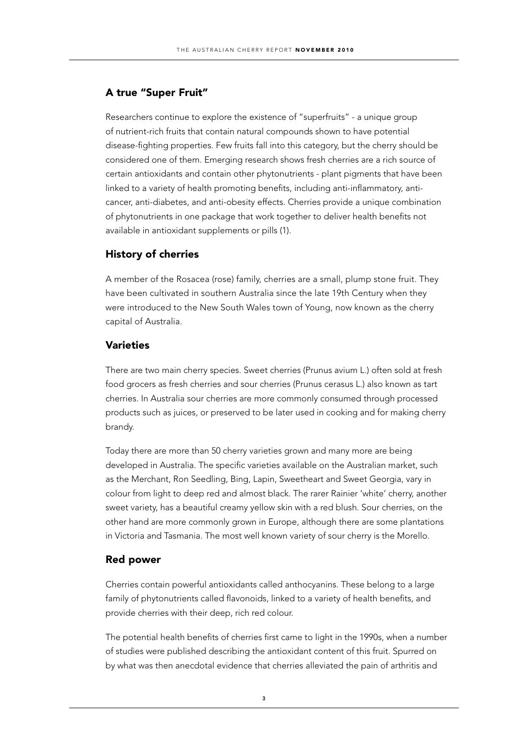## A true "Super Fruit"

Researchers continue to explore the existence of "superfruits" - a unique group of nutrient-rich fruits that contain natural compounds shown to have potential disease-fighting properties. Few fruits fall into this category, but the cherry should be considered one of them. Emerging research shows fresh cherries are a rich source of certain antioxidants and contain other phytonutrients - plant pigments that have been linked to a variety of health promoting benefits, including anti-inflammatory, anticancer, anti-diabetes, and anti-obesity effects. Cherries provide a unique combination of phytonutrients in one package that work together to deliver health benefits not available in antioxidant supplements or pills (1).

#### History of cherries

A member of the Rosacea (rose) family, cherries are a small, plump stone fruit. They have been cultivated in southern Australia since the late 19th Century when they were introduced to the New South Wales town of Young, now known as the cherry capital of Australia.

# **Varieties**

There are two main cherry species. Sweet cherries (Prunus avium L.) often sold at fresh food grocers as fresh cherries and sour cherries (Prunus cerasus L.) also known as tart cherries. In Australia sour cherries are more commonly consumed through processed products such as juices, or preserved to be later used in cooking and for making cherry brandy.

Today there are more than 50 cherry varieties grown and many more are being developed in Australia. The specific varieties available on the Australian market, such as the Merchant, Ron Seedling, Bing, Lapin, Sweetheart and Sweet Georgia, vary in colour from light to deep red and almost black. The rarer Rainier 'white' cherry, another sweet variety, has a beautiful creamy yellow skin with a red blush. Sour cherries, on the other hand are more commonly grown in Europe, although there are some plantations in Victoria and Tasmania. The most well known variety of sour cherry is the Morello.

#### Red power

Cherries contain powerful antioxidants called anthocyanins. These belong to a large family of phytonutrients called flavonoids, linked to a variety of health benefits, and provide cherries with their deep, rich red colour.

The potential health benefits of cherries first came to light in the 1990s, when a number of studies were published describing the antioxidant content of this fruit. Spurred on by what was then anecdotal evidence that cherries alleviated the pain of arthritis and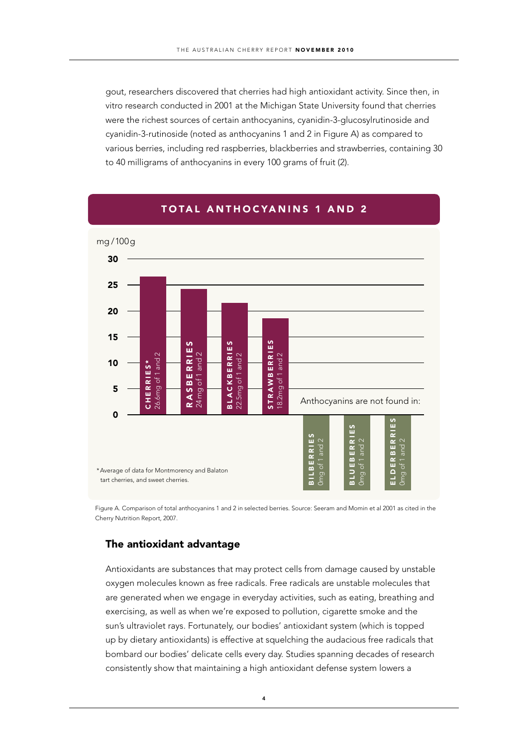gout, researchers discovered that cherries had high antioxidant activity. Since then, in vitro research conducted in 2001 at the Michigan State University found that cherries were the richest sources of certain anthocyanins, cyanidin-3-glucosylrutinoside and cyanidin-3-rutinoside (noted as anthocyanins 1 and 2 in Figure A) as compared to various berries, including red raspberries, blackberries and strawberries, containing 30 to 40 milligrams of anthocyanins in every 100 grams of fruit (2).



## TOTAL ANTHOCYANINS 1 AND 2

Figure A. Comparison of total anthocyanins 1 and 2 in selected berries. Source: Seeram and Momin et al 2001 as cited in the Cherry Nutrition Report, 2007.

#### The antioxidant advantage

Antioxidants are substances that may protect cells from damage caused by unstable oxygen molecules known as free radicals. Free radicals are unstable molecules that are generated when we engage in everyday activities, such as eating, breathing and exercising, as well as when we're exposed to pollution, cigarette smoke and the sun's ultraviolet rays. Fortunately, our bodies' antioxidant system (which is topped up by dietary antioxidants) is effective at squelching the audacious free radicals that bombard our bodies' delicate cells every day. Studies spanning decades of research consistently show that maintaining a high antioxidant defense system lowers a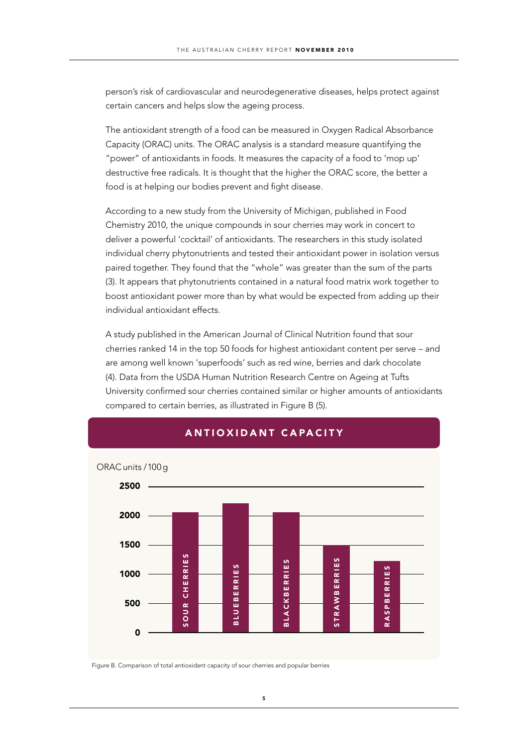person's risk of cardiovascular and neurodegenerative diseases, helps protect against certain cancers and helps slow the ageing process.

The antioxidant strength of a food can be measured in Oxygen Radical Absorbance Capacity (ORAC) units. The ORAC analysis is a standard measure quantifying the "power" of antioxidants in foods. It measures the capacity of a food to 'mop up' destructive free radicals. It is thought that the higher the ORAC score, the better a food is at helping our bodies prevent and fight disease.

According to a new study from the University of Michigan, published in Food Chemistry 2010, the unique compounds in sour cherries may work in concert to deliver a powerful 'cocktail' of antioxidants. The researchers in this study isolated individual cherry phytonutrients and tested their antioxidant power in isolation versus paired together. They found that the "whole" was greater than the sum of the parts (3). It appears that phytonutrients contained in a natural food matrix work together to boost antioxidant power more than by what would be expected from adding up their individual antioxidant effects.

A study published in the American Journal of Clinical Nutrition found that sour cherries ranked 14 in the top 50 foods for highest antioxidant content per serve – and are among well known 'superfoods' such as red wine, berries and dark chocolate (4). Data from the USDA Human Nutrition Research Centre on Ageing at Tufts University confirmed sour cherries contained similar or higher amounts of antioxidants compared to certain berries, as illustrated in Figure B (5).



### ANTIOXIDANT CAPACITY

Figure B. Comparison of total antioxidant capacity of sour cherries and popular berries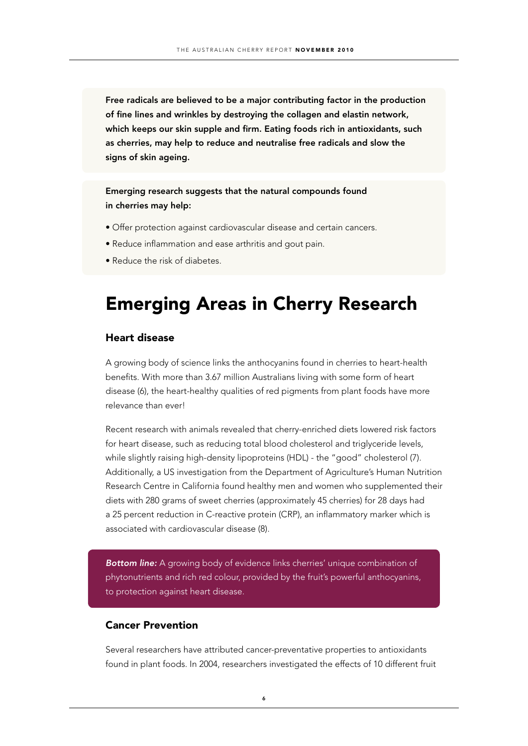Free radicals are believed to be a major contributing factor in the production of fine lines and wrinkles by destroying the collagen and elastin network, which keeps our skin supple and firm. Eating foods rich in antioxidants, such as cherries, may help to reduce and neutralise free radicals and slow the signs of skin ageing.

Emerging research suggests that the natural compounds found in cherries may help:

- Offer protection against cardiovascular disease and certain cancers.
- Reduce inflammation and ease arthritis and gout pain.
- Reduce the risk of diabetes.

# Emerging Areas in Cherry Research

#### Heart disease

A growing body of science links the anthocyanins found in cherries to heart-health benefits. With more than 3.67 million Australians living with some form of heart disease (6), the heart-healthy qualities of red pigments from plant foods have more relevance than ever!

Recent research with animals revealed that cherry-enriched diets lowered risk factors for heart disease, such as reducing total blood cholesterol and triglyceride levels, while slightly raising high-density lipoproteins (HDL) - the "good" cholesterol (7). Additionally, a US investigation from the Department of Agriculture's Human Nutrition Research Centre in California found healthy men and women who supplemented their diets with 280 grams of sweet cherries (approximately 45 cherries) for 28 days had a 25 percent reduction in C-reactive protein (CRP), an inflammatory marker which is associated with cardiovascular disease (8).

*Bottom line:* A growing body of evidence links cherries' unique combination of phytonutrients and rich red colour, provided by the fruit's powerful anthocyanins, to protection against heart disease.

## Cancer Prevention

Several researchers have attributed cancer-preventative properties to antioxidants found in plant foods. In 2004, researchers investigated the effects of 10 different fruit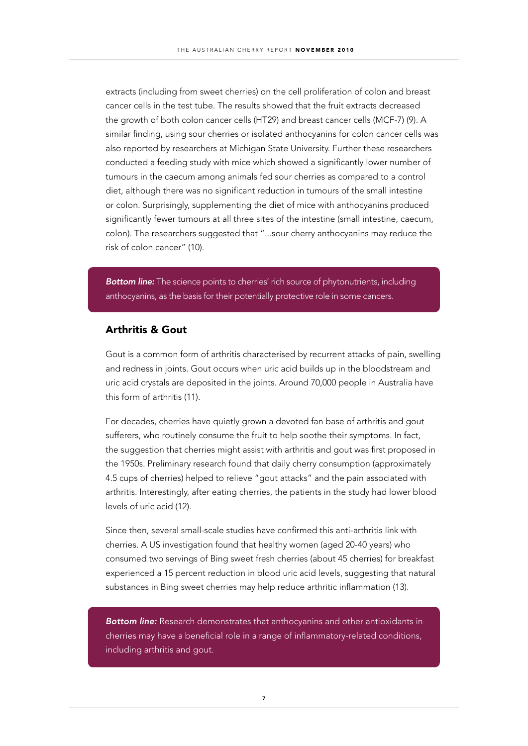extracts (including from sweet cherries) on the cell proliferation of colon and breast cancer cells in the test tube. The results showed that the fruit extracts decreased the growth of both colon cancer cells (HT29) and breast cancer cells (MCF-7) (9). A similar finding, using sour cherries or isolated anthocyanins for colon cancer cells was also reported by researchers at Michigan State University. Further these researchers conducted a feeding study with mice which showed a significantly lower number of tumours in the caecum among animals fed sour cherries as compared to a control diet, although there was no significant reduction in tumours of the small intestine or colon. Surprisingly, supplementing the diet of mice with anthocyanins produced significantly fewer tumours at all three sites of the intestine (small intestine, caecum, colon). The researchers suggested that "...sour cherry anthocyanins may reduce the risk of colon cancer" (10).

**Bottom line:** The science points to cherries' rich source of phytonutrients, including anthocyanins, as the basis for their potentially protective role in some cancers.

#### Arthritis & Gout

Gout is a common form of arthritis characterised by recurrent attacks of pain, swelling and redness in joints. Gout occurs when uric acid builds up in the bloodstream and uric acid crystals are deposited in the joints. Around 70,000 people in Australia have this form of arthritis (11).

For decades, cherries have quietly grown a devoted fan base of arthritis and gout sufferers, who routinely consume the fruit to help soothe their symptoms. In fact, the suggestion that cherries might assist with arthritis and gout was first proposed in the 1950s. Preliminary research found that daily cherry consumption (approximately 4.5 cups of cherries) helped to relieve "gout attacks" and the pain associated with arthritis. Interestingly, after eating cherries, the patients in the study had lower blood levels of uric acid (12).

Since then, several small-scale studies have confirmed this anti-arthritis link with cherries. A US investigation found that healthy women (aged 20-40 years) who consumed two servings of Bing sweet fresh cherries (about 45 cherries) for breakfast experienced a 15 percent reduction in blood uric acid levels, suggesting that natural substances in Bing sweet cherries may help reduce arthritic inflammation (13).

*Bottom line:* Research demonstrates that anthocyanins and other antioxidants in cherries may have a beneficial role in a range of inflammatory-related conditions, including arthritis and gout.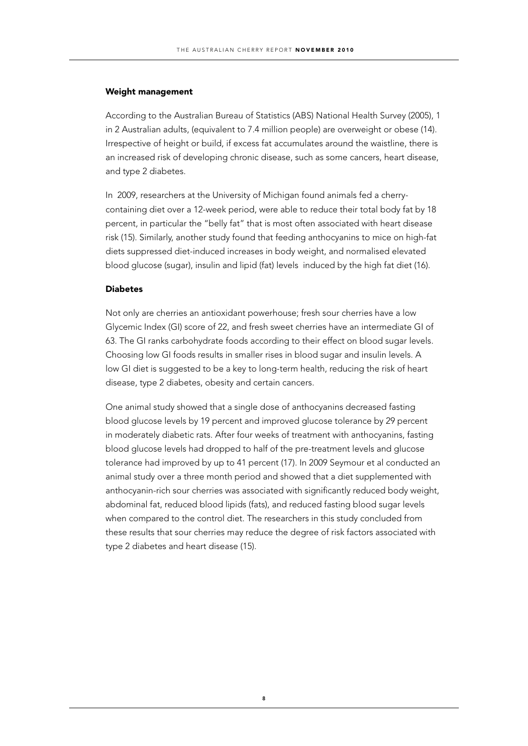#### Weight management

According to the Australian Bureau of Statistics (ABS) National Health Survey (2005), 1 in 2 Australian adults, (equivalent to 7.4 million people) are overweight or obese (14). Irrespective of height or build, if excess fat accumulates around the waistline, there is an increased risk of developing chronic disease, such as some cancers, heart disease, and type 2 diabetes.

In 2009, researchers at the University of Michigan found animals fed a cherrycontaining diet over a 12-week period, were able to reduce their total body fat by 18 percent, in particular the "belly fat" that is most often associated with heart disease risk (15). Similarly, another study found that feeding anthocyanins to mice on high-fat diets suppressed diet-induced increases in body weight, and normalised elevated blood glucose (sugar), insulin and lipid (fat) levels induced by the high fat diet (16).

#### Diabetes

Not only are cherries an antioxidant powerhouse; fresh sour cherries have a low Glycemic Index (GI) score of 22, and fresh sweet cherries have an intermediate GI of 63. The GI ranks carbohydrate foods according to their effect on blood sugar levels. Choosing low GI foods results in smaller rises in blood sugar and insulin levels. A low GI diet is suggested to be a key to long-term health, reducing the risk of heart disease, type 2 diabetes, obesity and certain cancers.

One animal study showed that a single dose of anthocyanins decreased fasting blood glucose levels by 19 percent and improved glucose tolerance by 29 percent in moderately diabetic rats. After four weeks of treatment with anthocyanins, fasting blood glucose levels had dropped to half of the pre-treatment levels and glucose tolerance had improved by up to 41 percent (17). In 2009 Seymour et al conducted an animal study over a three month period and showed that a diet supplemented with anthocyanin-rich sour cherries was associated with significantly reduced body weight, abdominal fat, reduced blood lipids (fats), and reduced fasting blood sugar levels when compared to the control diet. The researchers in this study concluded from these results that sour cherries may reduce the degree of risk factors associated with type 2 diabetes and heart disease (15).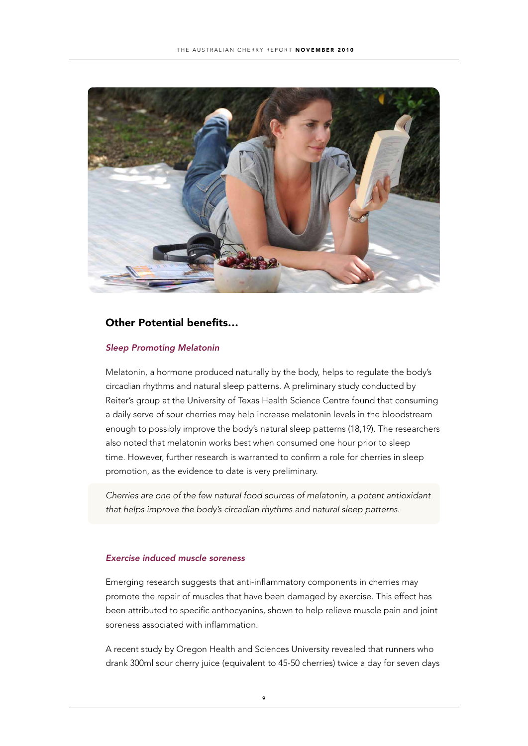

# Other Potential benefits…

#### *Sleep Promoting Melatonin*

Melatonin, a hormone produced naturally by the body, helps to regulate the body's circadian rhythms and natural sleep patterns. A preliminary study conducted by Reiter's group at the University of Texas Health Science Centre found that consuming a daily serve of sour cherries may help increase melatonin levels in the bloodstream enough to possibly improve the body's natural sleep patterns (18,19). The researchers also noted that melatonin works best when consumed one hour prior to sleep time. However, further research is warranted to confirm a role for cherries in sleep promotion, as the evidence to date is very preliminary.

*Cherries are one of the few natural food sources of melatonin, a potent antioxidant that helps improve the body's circadian rhythms and natural sleep patterns.*

#### *Exercise induced muscle soreness*

Emerging research suggests that anti-inflammatory components in cherries may promote the repair of muscles that have been damaged by exercise. This effect has been attributed to specific anthocyanins, shown to help relieve muscle pain and joint soreness associated with inflammation.

A recent study by Oregon Health and Sciences University revealed that runners who drank 300ml sour cherry juice (equivalent to 45-50 cherries) twice a day for seven days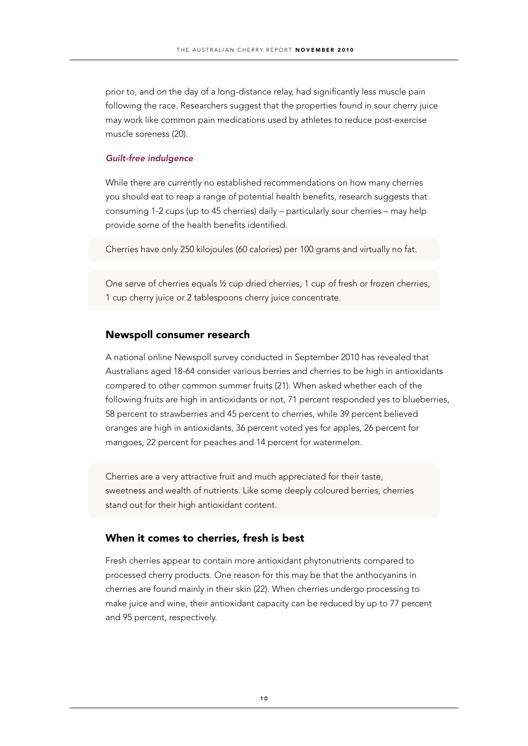prior to, and on the day of a long-distance relay, had significantly less muscle pain following the race. Researchers suggest that the properties found in sour cherry juice may work like common pain medications used by athletes to reduce post-exercise muscle soreness (20).

#### *Guilt-free indulgence*

While there are currently no established recommendations on how many cherries you should eat to reap a range of potential health benefits, research suggests that consuming 1-2 cups (up to 45 cherries) daily – particularly sour cherries – may help provide some of the health benefits identified.

Cherries have only 250 kilojoules (60 calories) per 100 grams and virtually no fat.

One serve of cherries equals ½ cup dried cherries, 1 cup of fresh or frozen cherries, 1 cup cherry juice or 2 tablespoons cherry juice concentrate.

#### Newspoll consumer research

A national online Newspoll survey conducted in September 2010 has revealed that Australians aged 18-64 consider various berries and cherries to be high in antioxidants compared to other common summer fruits (21). When asked whether each of the following fruits are high in antioxidants or not, 71 percent responded yes to blueberries, 58 percent to strawberries and 45 percent to cherries, while 39 percent believed oranges are high in antioxidants, 36 percent voted yes for apples, 26 percent for mangoes, 22 percent for peaches and 14 percent for watermelon.

Cherries are a very attractive fruit and much appreciated for their taste, sweetness and wealth of nutrients. Like some deeply coloured berries, cherries stand out for their high antioxidant content.

#### When it comes to cherries, fresh is best

Fresh cherries appear to contain more antioxidant phytonutrients compared to processed cherry products. One reason for this may be that the anthocyanins in cherries are found mainly in their skin (22). When cherries undergo processing to make juice and wine, their antioxidant capacity can be reduced by up to 77 percent and 95 percent, respectively.